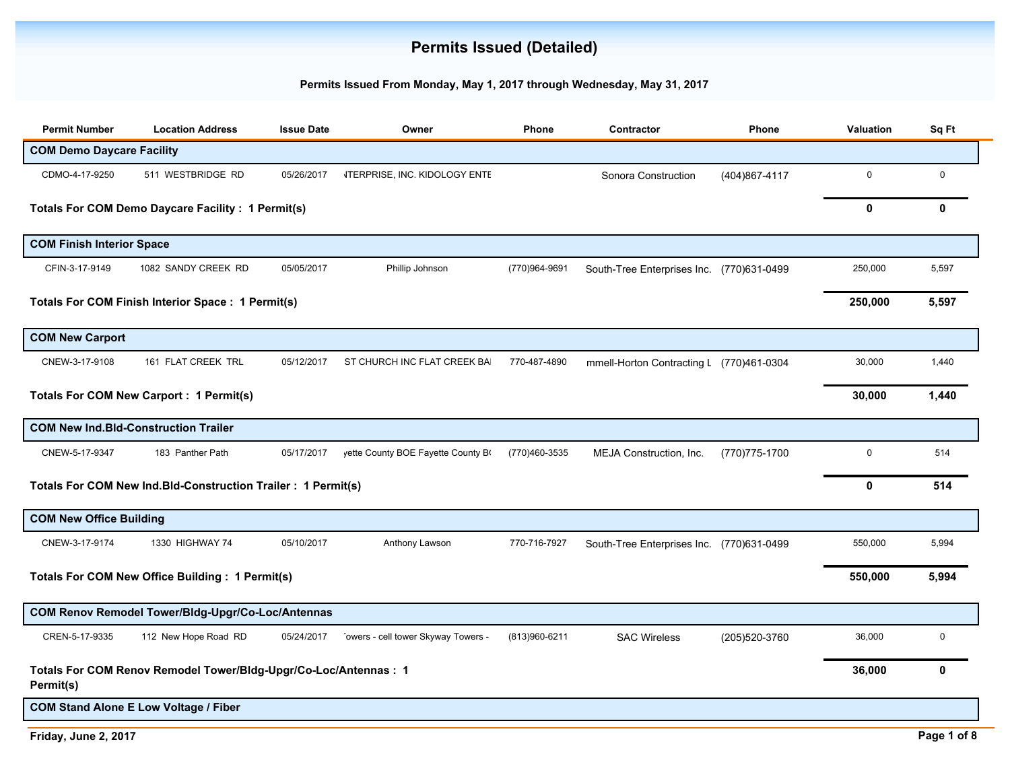## **Permits Issued (Detailed)**

## **Permits Issued From Monday, May 1, 2017 through Wednesday, May 31, 2017**

| <b>Permit Number</b>                        | <b>Location Address</b>                                          | <b>Issue Date</b> | Owner                                | Phone         | Contractor                                | Phone          | Valuation    | Sq Ft       |
|---------------------------------------------|------------------------------------------------------------------|-------------------|--------------------------------------|---------------|-------------------------------------------|----------------|--------------|-------------|
| <b>COM Demo Daycare Facility</b>            |                                                                  |                   |                                      |               |                                           |                |              |             |
| CDMO-4-17-9250                              | 511 WESTBRIDGE RD                                                | 05/26/2017        | <b>ITERPRISE, INC. KIDOLOGY ENTE</b> |               | Sonora Construction                       | (404)867-4117  | $\mathbf 0$  | $\mathbf 0$ |
|                                             | Totals For COM Demo Daycare Facility : 1 Permit(s)               |                   |                                      |               |                                           |                | 0            | 0           |
| <b>COM Finish Interior Space</b>            |                                                                  |                   |                                      |               |                                           |                |              |             |
| CFIN-3-17-9149                              | 1082 SANDY CREEK RD                                              | 05/05/2017        | Phillip Johnson                      | (770)964-9691 | South-Tree Enterprises Inc. (770)631-0499 |                | 250,000      | 5,597       |
|                                             | <b>Totals For COM Finish Interior Space: 1 Permit(s)</b>         |                   |                                      |               |                                           |                | 250,000      | 5,597       |
| <b>COM New Carport</b>                      |                                                                  |                   |                                      |               |                                           |                |              |             |
| CNEW-3-17-9108                              | 161 FLAT CREEK TRL                                               | 05/12/2017        | ST CHURCH INC FLAT CREEK BA          | 770-487-4890  | mmell-Horton Contracting L (770)461-0304  |                | 30,000       | 1,440       |
|                                             | <b>Totals For COM New Carport: 1 Permit(s)</b>                   |                   |                                      |               |                                           |                | 30,000       | 1,440       |
| <b>COM New Ind.Bld-Construction Trailer</b> |                                                                  |                   |                                      |               |                                           |                |              |             |
| CNEW-5-17-9347                              | 183 Panther Path                                                 | 05/17/2017        | yette County BOE Fayette County BO   | (770)460-3535 | MEJA Construction, Inc.                   | (770) 775-1700 | $\mathbf 0$  | 514         |
|                                             | Totals For COM New Ind.Bld-Construction Trailer : 1 Permit(s)    |                   |                                      |               |                                           |                | $\mathbf{0}$ | 514         |
| <b>COM New Office Building</b>              |                                                                  |                   |                                      |               |                                           |                |              |             |
| CNEW-3-17-9174                              | 1330 HIGHWAY 74                                                  | 05/10/2017        | Anthony Lawson                       | 770-716-7927  | South-Tree Enterprises Inc (770)631-0499  |                | 550,000      | 5,994       |
|                                             | <b>Totals For COM New Office Building: 1 Permit(s)</b>           |                   |                                      |               |                                           |                | 550,000      | 5,994       |
|                                             | COM Renov Remodel Tower/Bldg-Upgr/Co-Loc/Antennas                |                   |                                      |               |                                           |                |              |             |
| CREN-5-17-9335                              | 112 New Hope Road RD                                             | 05/24/2017        | owers - cell tower Skyway Towers -   | (813)960-6211 | <b>SAC Wireless</b>                       | (205)520-3760  | 36,000       | $\mathbf 0$ |
| Permit(s)                                   | Totals For COM Renov Remodel Tower/Bldg-Upgr/Co-Loc/Antennas : 1 |                   |                                      |               |                                           |                | 36,000       | 0           |
|                                             | <b>COM Stand Alone E Low Voltage / Fiber</b>                     |                   |                                      |               |                                           |                |              |             |

**Friday, June 2, 2017 Page 1 of 8**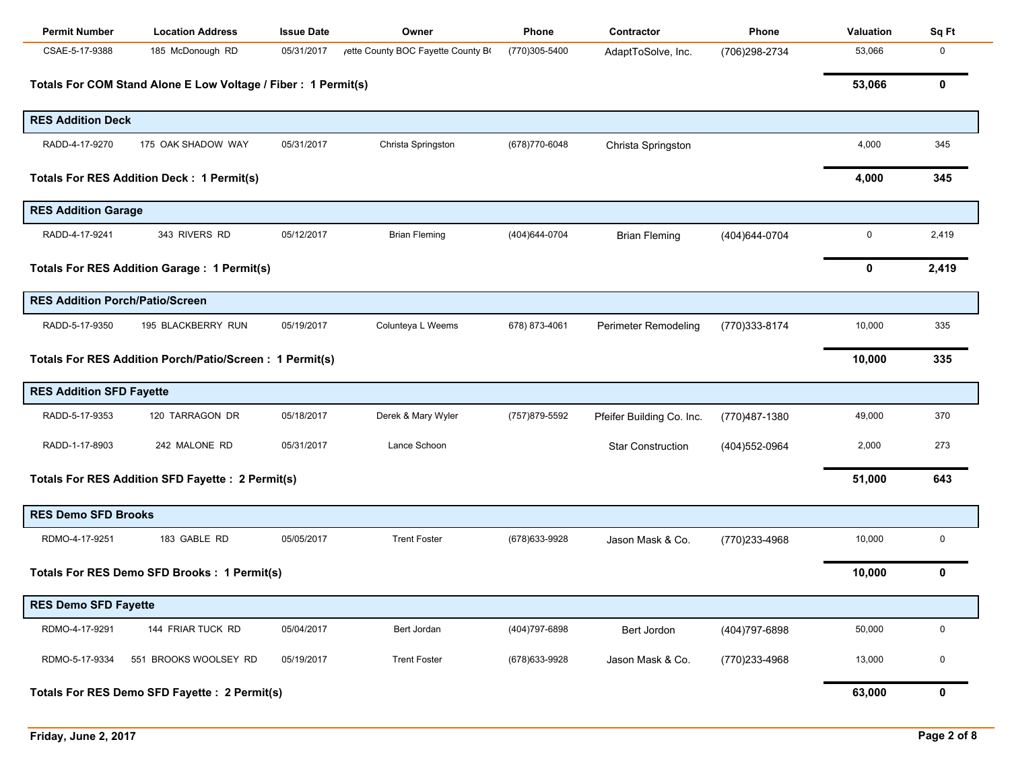| <b>Permit Number</b>                   | <b>Location Address</b>                                       | <b>Issue Date</b> | Owner                             | Phone          | Contractor                | <b>Phone</b>   | <b>Valuation</b> | Sq Ft |
|----------------------------------------|---------------------------------------------------------------|-------------------|-----------------------------------|----------------|---------------------------|----------------|------------------|-------|
| CSAE-5-17-9388                         | 185 McDonough RD                                              | 05/31/2017        | /ette County BOC Fayette County B | (770)305-5400  | AdaptToSolve, Inc.        | (706)298-2734  | 53,066           | 0     |
|                                        | Totals For COM Stand Alone E Low Voltage / Fiber: 1 Permit(s) |                   |                                   |                |                           |                | 53,066           | 0     |
| <b>RES Addition Deck</b>               |                                                               |                   |                                   |                |                           |                |                  |       |
| RADD-4-17-9270                         | 175 OAK SHADOW WAY                                            | 05/31/2017        | Christa Springston                | (678) 770-6048 | Christa Springston        |                | 4,000            | 345   |
|                                        | <b>Totals For RES Addition Deck: 1 Permit(s)</b>              |                   |                                   |                |                           |                | 4,000            | 345   |
| <b>RES Addition Garage</b>             |                                                               |                   |                                   |                |                           |                |                  |       |
| RADD-4-17-9241                         | 343 RIVERS RD                                                 | 05/12/2017        | <b>Brian Fleming</b>              | (404) 644-0704 | <b>Brian Fleming</b>      | (404) 644-0704 | 0                | 2,419 |
|                                        | <b>Totals For RES Addition Garage: 1 Permit(s)</b>            |                   |                                   |                |                           |                | 0                | 2,419 |
| <b>RES Addition Porch/Patio/Screen</b> |                                                               |                   |                                   |                |                           |                |                  |       |
| RADD-5-17-9350                         | 195 BLACKBERRY RUN                                            | 05/19/2017        | Colunteya L Weems                 | 678) 873-4061  | Perimeter Remodeling      | (770)333-8174  | 10,000           | 335   |
|                                        | Totals For RES Addition Porch/Patio/Screen: 1 Permit(s)       |                   |                                   |                |                           |                | 10,000           | 335   |
| <b>RES Addition SFD Fayette</b>        |                                                               |                   |                                   |                |                           |                |                  |       |
| RADD-5-17-9353                         | 120 TARRAGON DR                                               | 05/18/2017        | Derek & Mary Wyler                | (757)879-5592  | Pfeifer Building Co. Inc. | (770)487-1380  | 49,000           | 370   |
| RADD-1-17-8903                         | 242 MALONE RD                                                 | 05/31/2017        | Lance Schoon                      |                | <b>Star Construction</b>  | (404) 552-0964 | 2,000            | 273   |
|                                        | Totals For RES Addition SFD Fayette : 2 Permit(s)             |                   |                                   |                |                           |                | 51,000           | 643   |
| <b>RES Demo SFD Brooks</b>             |                                                               |                   |                                   |                |                           |                |                  |       |
| RDMO-4-17-9251                         | 183 GABLE RD                                                  | 05/05/2017        | <b>Trent Foster</b>               | (678) 633-9928 | Jason Mask & Co.          | (770)233-4968  | 10,000           | 0     |
|                                        | Totals For RES Demo SFD Brooks : 1 Permit(s)                  |                   |                                   |                |                           |                | 10,000           | 0     |
| <b>RES Demo SFD Fayette</b>            |                                                               |                   |                                   |                |                           |                |                  |       |
| RDMO-4-17-9291                         | 144 FRIAR TUCK RD                                             | 05/04/2017        | Bert Jordan                       | (404) 797-6898 | Bert Jordon               | (404) 797-6898 | 50,000           | 0     |
| RDMO-5-17-9334                         | 551 BROOKS WOOLSEY RD                                         | 05/19/2017        | <b>Trent Foster</b>               | (678) 633-9928 | Jason Mask & Co.          | (770)233-4968  | 13,000           | 0     |
|                                        | Totals For RES Demo SFD Fayette : 2 Permit(s)                 |                   |                                   |                |                           |                | 63,000           | 0     |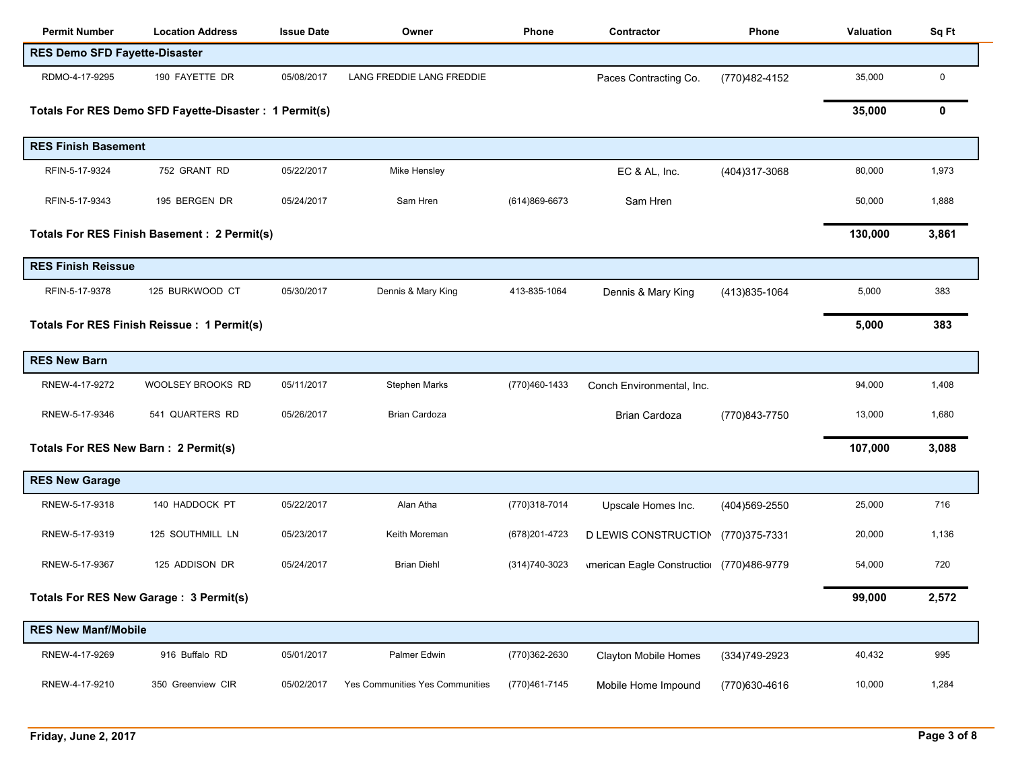| <b>Permit Number</b>                 | <b>Location Address</b>                                | <b>Issue Date</b> | Owner                           | Phone          | Contractor                                      | <b>Phone</b>   | <b>Valuation</b> | Sq Ft       |
|--------------------------------------|--------------------------------------------------------|-------------------|---------------------------------|----------------|-------------------------------------------------|----------------|------------------|-------------|
| <b>RES Demo SFD Fayette-Disaster</b> |                                                        |                   |                                 |                |                                                 |                |                  |             |
| RDMO-4-17-9295                       | 190 FAYETTE DR                                         | 05/08/2017        | LANG FREDDIE LANG FREDDIE       |                | Paces Contracting Co.                           | (770)482-4152  | 35,000           | $\mathbf 0$ |
|                                      | Totals For RES Demo SFD Fayette-Disaster : 1 Permit(s) |                   |                                 |                |                                                 |                | 35,000           | 0           |
|                                      |                                                        |                   |                                 |                |                                                 |                |                  |             |
| <b>RES Finish Basement</b>           |                                                        |                   |                                 |                |                                                 |                |                  |             |
| RFIN-5-17-9324                       | 752 GRANT RD                                           | 05/22/2017        | Mike Hensley                    |                | EC & AL, Inc.                                   | (404)317-3068  | 80,000           | 1,973       |
| RFIN-5-17-9343                       | 195 BERGEN DR                                          | 05/24/2017        | Sam Hren                        | (614)869-6673  | Sam Hren                                        |                | 50,000           | 1,888       |
|                                      | <b>Totals For RES Finish Basement: 2 Permit(s)</b>     |                   |                                 |                |                                                 |                | 130,000          | 3,861       |
| <b>RES Finish Reissue</b>            |                                                        |                   |                                 |                |                                                 |                |                  |             |
| RFIN-5-17-9378                       | 125 BURKWOOD CT                                        | 05/30/2017        | Dennis & Mary King              | 413-835-1064   | Dennis & Mary King                              | (413) 835-1064 | 5,000            | 383         |
|                                      | Totals For RES Finish Reissue : 1 Permit(s)            |                   |                                 |                |                                                 |                | 5,000            | 383         |
| <b>RES New Barn</b>                  |                                                        |                   |                                 |                |                                                 |                |                  |             |
| RNEW-4-17-9272                       | WOOLSEY BROOKS RD                                      | 05/11/2017        | Stephen Marks                   | (770)460-1433  | Conch Environmental, Inc.                       |                | 94,000           | 1,408       |
| RNEW-5-17-9346                       | 541 QUARTERS RD                                        | 05/26/2017        | Brian Cardoza                   |                | <b>Brian Cardoza</b>                            | (770)843-7750  | 13,000           | 1,680       |
| Totals For RES New Barn: 2 Permit(s) |                                                        |                   |                                 |                |                                                 |                | 107,000          | 3,088       |
| <b>RES New Garage</b>                |                                                        |                   |                                 |                |                                                 |                |                  |             |
| RNEW-5-17-9318                       | 140 HADDOCK PT                                         | 05/22/2017        | Alan Atha                       | (770)318-7014  | Upscale Homes Inc.                              | (404) 569-2550 | 25,000           | 716         |
| RNEW-5-17-9319                       | 125 SOUTHMILL LN                                       | 05/23/2017        | Keith Moreman                   | (678) 201-4723 | D LEWIS CONSTRUCTION                            | (770)375-7331  | 20,000           | 1,136       |
| RNEW-5-17-9367                       | 125 ADDISON DR                                         | 05/24/2017        | <b>Brian Diehl</b>              | (314) 740-3023 | <b>Imerican Eagle Constructio (770)486-9779</b> |                | 54,000           | 720         |
|                                      | Totals For RES New Garage: 3 Permit(s)                 |                   |                                 |                |                                                 |                | 99,000           | 2,572       |
| <b>RES New Manf/Mobile</b>           |                                                        |                   |                                 |                |                                                 |                |                  |             |
| RNEW-4-17-9269                       | 916 Buffalo RD                                         | 05/01/2017        | Palmer Edwin                    | (770)362-2630  | <b>Clayton Mobile Homes</b>                     | (334) 749-2923 | 40,432           | 995         |
| RNEW-4-17-9210                       | 350 Greenview CIR                                      | 05/02/2017        | Yes Communities Yes Communities | (770)461-7145  | Mobile Home Impound                             | (770)630-4616  | 10,000           | 1,284       |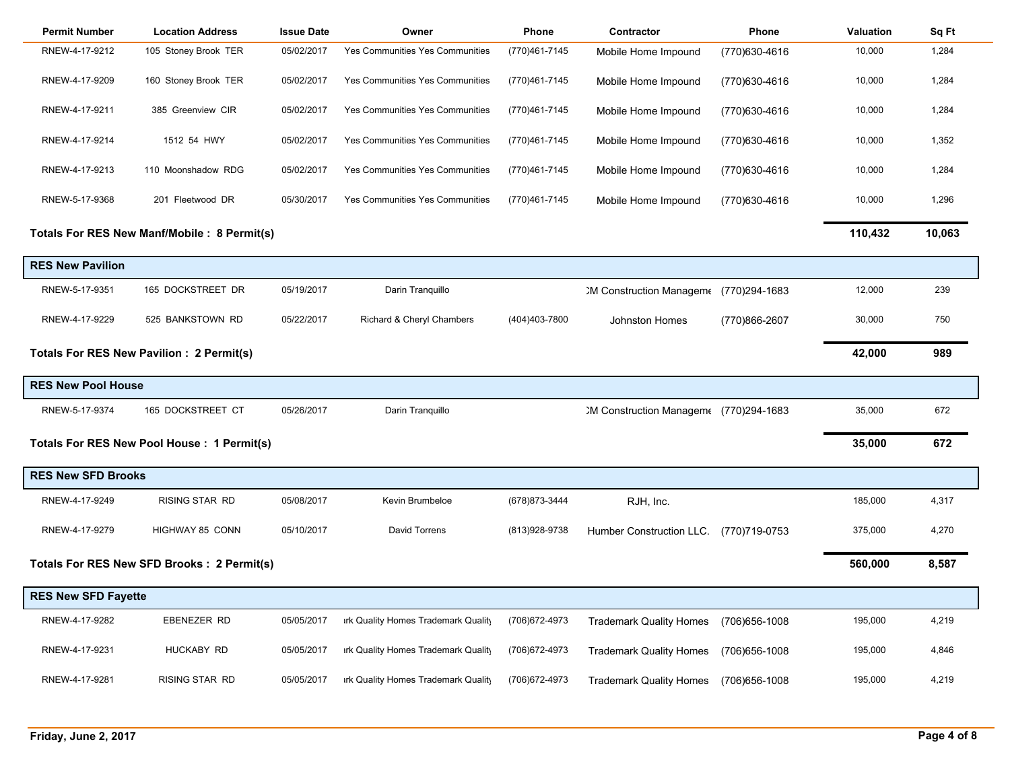| <b>Permit Number</b>       | <b>Location Address</b>                      | <b>Issue Date</b> | Owner                               | Phone          | Contractor                            | Phone          | Valuation | Sq Ft  |
|----------------------------|----------------------------------------------|-------------------|-------------------------------------|----------------|---------------------------------------|----------------|-----------|--------|
| RNEW-4-17-9212             | 105 Stoney Brook TER                         | 05/02/2017        | Yes Communities Yes Communities     | (770)461-7145  | Mobile Home Impound                   | (770)630-4616  | 10,000    | 1,284  |
| RNEW-4-17-9209             | 160 Stoney Brook TER                         | 05/02/2017        | Yes Communities Yes Communities     | (770)461-7145  | Mobile Home Impound                   | (770)630-4616  | 10,000    | 1,284  |
| RNEW-4-17-9211             | 385 Greenview CIR                            | 05/02/2017        | Yes Communities Yes Communities     | (770)461-7145  | Mobile Home Impound                   | (770)630-4616  | 10,000    | 1,284  |
| RNEW-4-17-9214             | 1512 54 HWY                                  | 05/02/2017        | Yes Communities Yes Communities     | (770)461-7145  | Mobile Home Impound                   | (770)630-4616  | 10,000    | 1,352  |
| RNEW-4-17-9213             | 110 Moonshadow RDG                           | 05/02/2017        | Yes Communities Yes Communities     | (770)461-7145  | Mobile Home Impound                   | (770)630-4616  | 10,000    | 1,284  |
| RNEW-5-17-9368             | 201 Fleetwood DR                             | 05/30/2017        | Yes Communities Yes Communities     | (770)461-7145  | Mobile Home Impound                   | (770)630-4616  | 10,000    | 1,296  |
|                            | Totals For RES New Manf/Mobile : 8 Permit(s) |                   |                                     |                |                                       |                | 110,432   | 10,063 |
| <b>RES New Pavilion</b>    |                                              |                   |                                     |                |                                       |                |           |        |
| RNEW-5-17-9351             | 165 DOCKSTREET DR                            | 05/19/2017        | Darin Tranquillo                    |                | 2M Construction Managem (770)294-1683 |                | 12,000    | 239    |
| RNEW-4-17-9229             | 525 BANKSTOWN RD                             | 05/22/2017        | Richard & Cheryl Chambers           | (404)403-7800  | <b>Johnston Homes</b>                 | (770)866-2607  | 30,000    | 750    |
|                            | Totals For RES New Pavilion : 2 Permit(s)    |                   |                                     |                |                                       |                | 42,000    | 989    |
| <b>RES New Pool House</b>  |                                              |                   |                                     |                |                                       |                |           |        |
| RNEW-5-17-9374             | 165 DOCKSTREET CT                            | 05/26/2017        | Darin Tranquillo                    |                | 2M Construction Managem (770)294-1683 |                | 35,000    | 672    |
|                            | Totals For RES New Pool House : 1 Permit(s)  |                   |                                     |                |                                       |                | 35,000    | 672    |
| <b>RES New SFD Brooks</b>  |                                              |                   |                                     |                |                                       |                |           |        |
| RNEW-4-17-9249             | <b>RISING STAR RD</b>                        | 05/08/2017        | Kevin Brumbeloe                     | (678) 873-3444 | RJH, Inc.                             |                | 185,000   | 4,317  |
| RNEW-4-17-9279             | HIGHWAY 85 CONN                              | 05/10/2017        | David Torrens                       | (813) 928-9738 | Humber Construction LLC.              | (770)719-0753  | 375,000   | 4,270  |
|                            | Totals For RES New SFD Brooks : 2 Permit(s)  |                   |                                     |                |                                       |                | 560,000   | 8,587  |
| <b>RES New SFD Fayette</b> |                                              |                   |                                     |                |                                       |                |           |        |
| RNEW-4-17-9282             | EBENEZER RD                                  | 05/05/2017        | irk Quality Homes Trademark Quality | (706) 672-4973 | <b>Trademark Quality Homes</b>        | (706) 656-1008 | 195,000   | 4,219  |
| RNEW-4-17-9231             | HUCKABY RD                                   | 05/05/2017        | irk Quality Homes Trademark Quality | (706) 672-4973 | <b>Trademark Quality Homes</b>        | (706) 656-1008 | 195,000   | 4,846  |
| RNEW-4-17-9281             | RISING STAR RD                               | 05/05/2017        | irk Quality Homes Trademark Quality | (706) 672-4973 | <b>Trademark Quality Homes</b>        | (706) 656-1008 | 195,000   | 4,219  |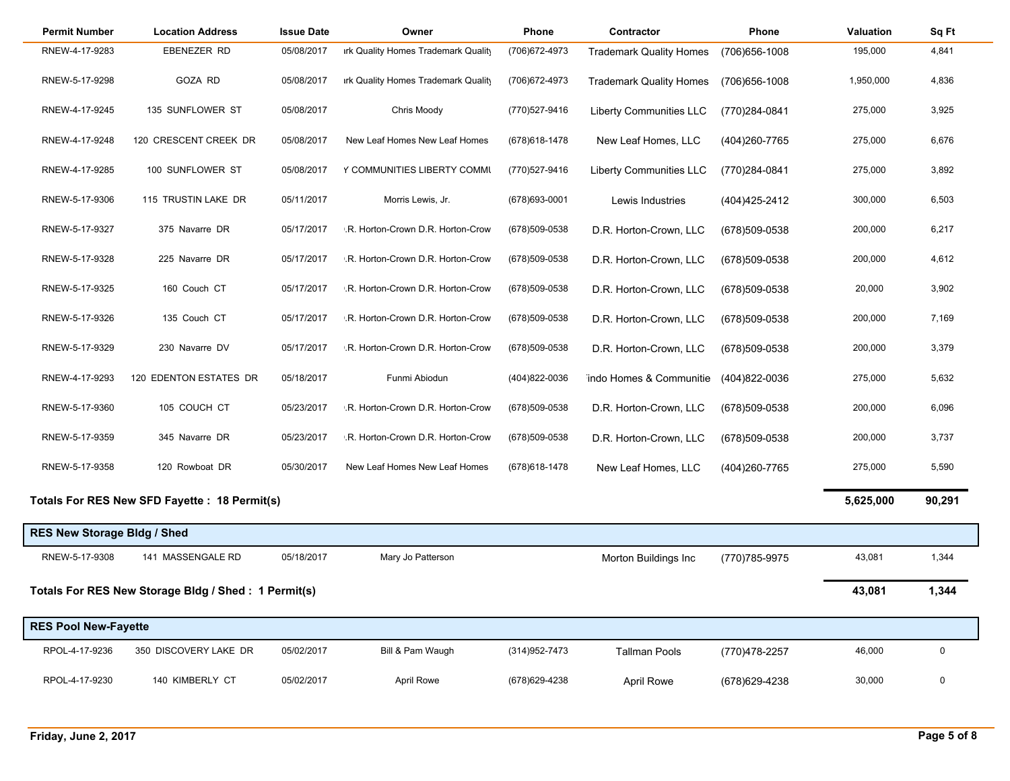| <b>Permit Number</b>               | <b>Location Address</b>                             | <b>Issue Date</b> | Owner                               | Phone          | Contractor                     | Phone          | Valuation | Sq Ft       |
|------------------------------------|-----------------------------------------------------|-------------------|-------------------------------------|----------------|--------------------------------|----------------|-----------|-------------|
| RNEW-4-17-9283                     | EBENEZER RD                                         | 05/08/2017        | irk Quality Homes Trademark Quality | (706) 672-4973 | <b>Trademark Quality Homes</b> | (706) 656-1008 | 195,000   | 4,841       |
| RNEW-5-17-9298                     | GOZA RD                                             | 05/08/2017        | irk Quality Homes Trademark Quality | (706) 672-4973 | <b>Trademark Quality Homes</b> | (706) 656-1008 | 1,950,000 | 4,836       |
| RNEW-4-17-9245                     | 135 SUNFLOWER ST                                    | 05/08/2017        | Chris Moody                         | (770)527-9416  | <b>Liberty Communities LLC</b> | (770)284-0841  | 275,000   | 3,925       |
| RNEW-4-17-9248                     | 120 CRESCENT CREEK DR                               | 05/08/2017        | New Leaf Homes New Leaf Homes       | (678) 618-1478 | New Leaf Homes, LLC            | (404)260-7765  | 275,000   | 6,676       |
| RNEW-4-17-9285                     | 100 SUNFLOWER ST                                    | 05/08/2017        | Y COMMUNITIES LIBERTY COMMU         | (770)527-9416  | <b>Liberty Communities LLC</b> | (770)284-0841  | 275,000   | 3,892       |
| RNEW-5-17-9306                     | 115 TRUSTIN LAKE DR                                 | 05/11/2017        | Morris Lewis, Jr.                   | (678) 693-0001 | Lewis Industries               | (404) 425-2412 | 300,000   | 6,503       |
| RNEW-5-17-9327                     | 375 Navarre DR                                      | 05/17/2017        | .R. Horton-Crown D.R. Horton-Crow   | (678) 509-0538 | D.R. Horton-Crown, LLC         | (678)509-0538  | 200,000   | 6,217       |
| RNEW-5-17-9328                     | 225 Navarre DR                                      | 05/17/2017        | .R. Horton-Crown D.R. Horton-Crow   | (678)509-0538  | D.R. Horton-Crown, LLC         | (678)509-0538  | 200,000   | 4,612       |
| RNEW-5-17-9325                     | 160 Couch CT                                        | 05/17/2017        | .R. Horton-Crown D.R. Horton-Crow   | (678)509-0538  | D.R. Horton-Crown, LLC         | (678)509-0538  | 20,000    | 3,902       |
| RNEW-5-17-9326                     | 135 Couch CT                                        | 05/17/2017        | .R. Horton-Crown D.R. Horton-Crow   | (678)509-0538  | D.R. Horton-Crown, LLC         | (678)509-0538  | 200,000   | 7,169       |
| RNEW-5-17-9329                     | 230 Navarre DV                                      | 05/17/2017        | .R. Horton-Crown D.R. Horton-Crow   | (678)509-0538  | D.R. Horton-Crown, LLC         | (678)509-0538  | 200,000   | 3,379       |
| RNEW-4-17-9293                     | 120 EDENTON ESTATES DR                              | 05/18/2017        | Funmi Abiodun                       | (404)822-0036  | indo Homes & Communitie        | (404)822-0036  | 275,000   | 5,632       |
| RNEW-5-17-9360                     | 105 COUCH CT                                        | 05/23/2017        | .R. Horton-Crown D.R. Horton-Crow   | (678) 509-0538 | D.R. Horton-Crown, LLC         | (678)509-0538  | 200,000   | 6,096       |
| RNEW-5-17-9359                     | 345 Navarre DR                                      | 05/23/2017        | .R. Horton-Crown D.R. Horton-Crow   | (678) 509-0538 | D.R. Horton-Crown, LLC         | (678)509-0538  | 200,000   | 3,737       |
| RNEW-5-17-9358                     | 120 Rowboat DR                                      | 05/30/2017        | New Leaf Homes New Leaf Homes       | (678) 618-1478 | New Leaf Homes, LLC            | (404) 260-7765 | 275,000   | 5,590       |
|                                    | Totals For RES New SFD Fayette : 18 Permit(s)       |                   |                                     |                |                                |                | 5,625,000 | 90,291      |
| <b>RES New Storage Bldg / Shed</b> |                                                     |                   |                                     |                |                                |                |           |             |
| RNEW-5-17-9308                     | 141 MASSENGALE RD                                   | 05/18/2017        | Mary Jo Patterson                   |                | Morton Buildings Inc           | (770)785-9975  | 43,081    | 1,344       |
|                                    | Totals For RES New Storage Bldg / Shed: 1 Permit(s) |                   |                                     |                |                                |                | 43,081    | 1,344       |
| <b>RES Pool New-Fayette</b>        |                                                     |                   |                                     |                |                                |                |           |             |
| RPOL-4-17-9236                     | 350 DISCOVERY LAKE DR                               | 05/02/2017        | Bill & Pam Waugh                    | (314) 952-7473 | <b>Tallman Pools</b>           | (770)478-2257  | 46,000    | 0           |
| RPOL-4-17-9230                     | 140 KIMBERLY CT                                     | 05/02/2017        | <b>April Rowe</b>                   | (678) 629-4238 | <b>April Rowe</b>              | (678) 629-4238 | 30,000    | $\mathbf 0$ |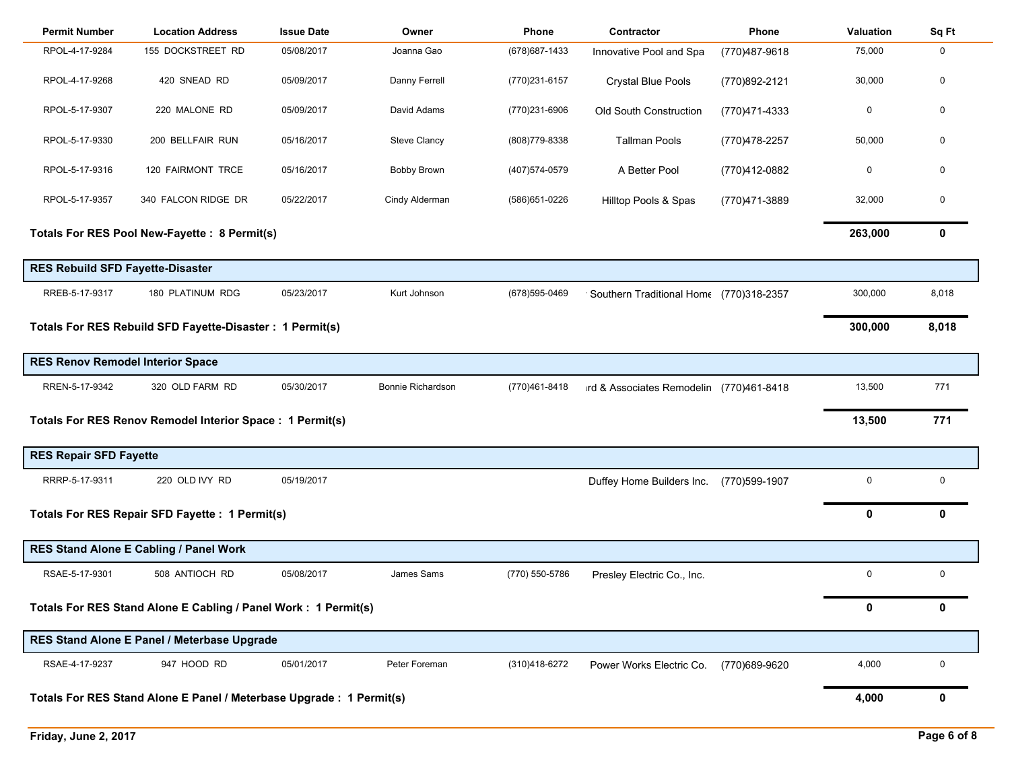| <b>Permit Number</b>                                                | <b>Location Address</b>                                        | <b>Issue Date</b> | Owner               | Phone          | Contractor                                | Phone          | Valuation   | Sq Ft        |
|---------------------------------------------------------------------|----------------------------------------------------------------|-------------------|---------------------|----------------|-------------------------------------------|----------------|-------------|--------------|
| RPOL-4-17-9284                                                      | 155 DOCKSTREET RD                                              | 05/08/2017        | Joanna Gao          | (678) 687-1433 | Innovative Pool and Spa                   | (770) 487-9618 | 75,000      | $\mathbf 0$  |
| RPOL-4-17-9268                                                      | 420 SNEAD RD                                                   | 05/09/2017        | Danny Ferrell       | (770)231-6157  | <b>Crystal Blue Pools</b>                 | (770)892-2121  | 30,000      | $\mathbf 0$  |
| RPOL-5-17-9307                                                      | 220 MALONE RD                                                  | 05/09/2017        | David Adams         | (770)231-6906  | Old South Construction                    | (770)471-4333  | 0           | $\mathbf 0$  |
| RPOL-5-17-9330                                                      | 200 BELLFAIR RUN                                               | 05/16/2017        | <b>Steve Clancy</b> | (808) 779-8338 | <b>Tallman Pools</b>                      | (770) 478-2257 | 50,000      | $\mathbf{0}$ |
| RPOL-5-17-9316                                                      | 120 FAIRMONT TRCE                                              | 05/16/2017        | <b>Bobby Brown</b>  | (407) 574-0579 | A Better Pool                             | (770)412-0882  | $\mathbf 0$ | $\mathbf{0}$ |
| RPOL-5-17-9357                                                      | 340 FALCON RIDGE DR                                            | 05/22/2017        | Cindy Alderman      | (586) 651-0226 | Hilltop Pools & Spas                      | (770)471-3889  | 32,000      | $\mathbf 0$  |
|                                                                     | Totals For RES Pool New-Fayette : 8 Permit(s)                  |                   |                     |                |                                           |                | 263,000     | 0            |
| <b>RES Rebuild SFD Fayette-Disaster</b>                             |                                                                |                   |                     |                |                                           |                |             |              |
| RREB-5-17-9317                                                      | 180 PLATINUM RDG                                               | 05/23/2017        | Kurt Johnson        | (678) 595-0469 | ' Southern Traditional Home (770)318-2357 |                | 300,000     | 8,018        |
|                                                                     | Totals For RES Rebuild SFD Fayette-Disaster : 1 Permit(s)      |                   |                     |                |                                           |                | 300,000     | 8,018        |
| <b>RES Renov Remodel Interior Space</b>                             |                                                                |                   |                     |                |                                           |                |             |              |
| RREN-5-17-9342                                                      | 320 OLD FARM RD                                                | 05/30/2017        | Bonnie Richardson   | (770)461-8418  | ird & Associates Remodelin (770)461-8418  |                | 13,500      | 771          |
|                                                                     | Totals For RES Renov Remodel Interior Space : 1 Permit(s)      |                   |                     |                |                                           |                | 13,500      | 771          |
| <b>RES Repair SFD Fayette</b>                                       |                                                                |                   |                     |                |                                           |                |             |              |
| RRRP-5-17-9311                                                      | 220 OLD IVY RD                                                 | 05/19/2017        |                     |                | Duffey Home Builders Inc.                 | (770)599-1907  | $\mathbf 0$ | $\mathbf 0$  |
|                                                                     | Totals For RES Repair SFD Fayette : 1 Permit(s)                |                   |                     |                |                                           |                | 0           | $\mathbf{0}$ |
|                                                                     | RES Stand Alone E Cabling / Panel Work                         |                   |                     |                |                                           |                |             |              |
| RSAE-5-17-9301                                                      | 508 ANTIOCH RD                                                 | 05/08/2017        | James Sams          | (770) 550-5786 | Presley Electric Co., Inc.                |                | $\mathbf 0$ | $\mathbf 0$  |
|                                                                     | Totals For RES Stand Alone E Cabling / Panel Work: 1 Permit(s) |                   |                     |                |                                           |                | 0           | 0            |
|                                                                     | RES Stand Alone E Panel / Meterbase Upgrade                    |                   |                     |                |                                           |                |             |              |
| RSAE-4-17-9237                                                      | 947 HOOD RD                                                    | 05/01/2017        | Peter Foreman       | (310)418-6272  | Power Works Electric Co.                  | (770)689-9620  | 4,000       | $\mathbf 0$  |
| Totals For RES Stand Alone E Panel / Meterbase Upgrade: 1 Permit(s) |                                                                |                   |                     |                |                                           |                |             | 0            |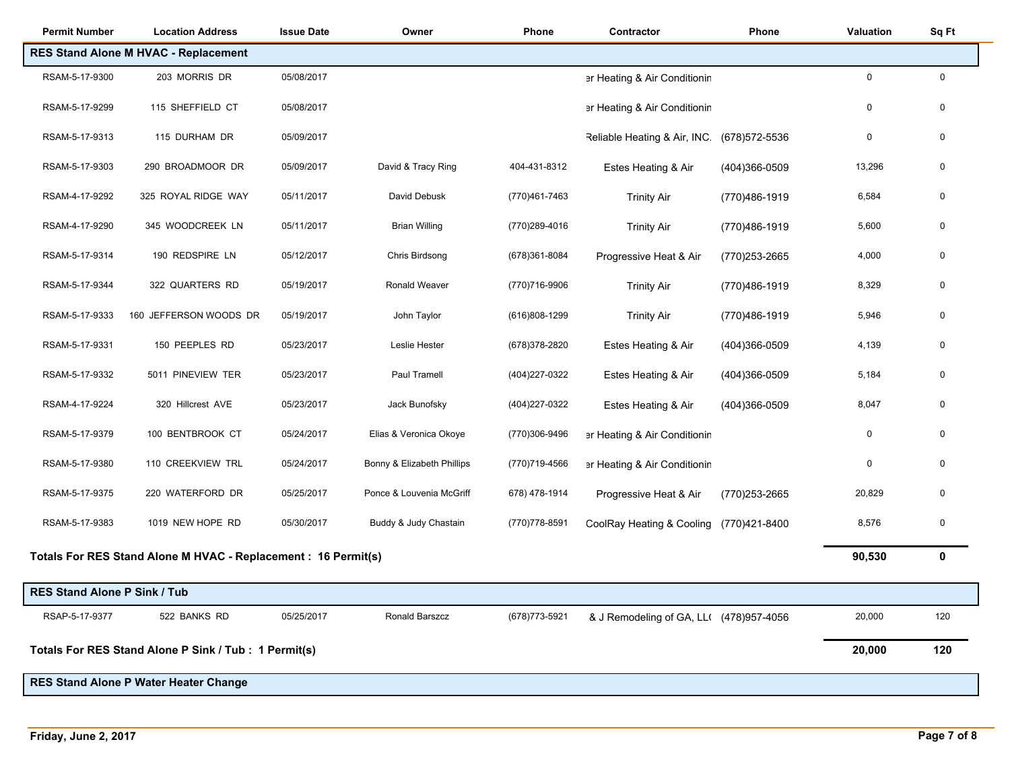| <b>Permit Number</b>                | <b>Location Address</b>                                        | <b>Issue Date</b> | Owner                      | Phone          | Contractor                              | Phone          | Valuation   | Sq Ft       |
|-------------------------------------|----------------------------------------------------------------|-------------------|----------------------------|----------------|-----------------------------------------|----------------|-------------|-------------|
|                                     | <b>RES Stand Alone M HVAC - Replacement</b>                    |                   |                            |                |                                         |                |             |             |
| RSAM-5-17-9300                      | 203 MORRIS DR                                                  | 05/08/2017        |                            |                | er Heating & Air Conditionin            |                | $\mathbf 0$ | $\mathbf 0$ |
| RSAM-5-17-9299                      | 115 SHEFFIELD CT                                               | 05/08/2017        |                            |                | er Heating & Air Conditionin            |                | 0           | 0           |
| RSAM-5-17-9313                      | 115 DURHAM DR                                                  | 05/09/2017        |                            |                | Reliable Heating & Air, INC.            | (678) 572-5536 | $\mathbf 0$ | $\mathbf 0$ |
| RSAM-5-17-9303                      | 290 BROADMOOR DR                                               | 05/09/2017        | David & Tracy Ring         | 404-431-8312   | Estes Heating & Air                     | (404)366-0509  | 13,296      | 0           |
| RSAM-4-17-9292                      | 325 ROYAL RIDGE WAY                                            | 05/11/2017        | David Debusk               | (770)461-7463  | <b>Trinity Air</b>                      | (770)486-1919  | 6,584       | 0           |
| RSAM-4-17-9290                      | 345 WOODCREEK LN                                               | 05/11/2017        | <b>Brian Willing</b>       | (770)289-4016  | <b>Trinity Air</b>                      | (770)486-1919  | 5,600       | $\mathbf 0$ |
| RSAM-5-17-9314                      | 190 REDSPIRE LN                                                | 05/12/2017        | Chris Birdsong             | (678)361-8084  | Progressive Heat & Air                  | (770)253-2665  | 4,000       | 0           |
| RSAM-5-17-9344                      | 322 QUARTERS RD                                                | 05/19/2017        | Ronald Weaver              | (770)716-9906  | <b>Trinity Air</b>                      | (770)486-1919  | 8,329       | 0           |
| RSAM-5-17-9333                      | 160 JEFFERSON WOODS DR                                         | 05/19/2017        | John Taylor                | (616)808-1299  | <b>Trinity Air</b>                      | (770)486-1919  | 5,946       | 0           |
| RSAM-5-17-9331                      | 150 PEEPLES RD                                                 | 05/23/2017        | Leslie Hester              | (678) 378-2820 | Estes Heating & Air                     | (404)366-0509  | 4,139       | $\mathbf 0$ |
| RSAM-5-17-9332                      | 5011 PINEVIEW TER                                              | 05/23/2017        | Paul Tramell               | (404)227-0322  | Estes Heating & Air                     | (404)366-0509  | 5,184       | 0           |
| RSAM-4-17-9224                      | 320 Hillcrest AVE                                              | 05/23/2017        | Jack Bunofsky              | (404) 227-0322 | Estes Heating & Air                     | (404)366-0509  | 8,047       | 0           |
| RSAM-5-17-9379                      | 100 BENTBROOK CT                                               | 05/24/2017        | Elias & Veronica Okoye     | (770)306-9496  | er Heating & Air Conditionin            |                | 0           | 0           |
| RSAM-5-17-9380                      | 110 CREEKVIEW TRL                                              | 05/24/2017        | Bonny & Elizabeth Phillips | (770)719-4566  | er Heating & Air Conditionin            |                | $\mathbf 0$ | 0           |
| RSAM-5-17-9375                      | 220 WATERFORD DR                                               | 05/25/2017        | Ponce & Louvenia McGriff   | 678) 478-1914  | Progressive Heat & Air                  | (770)253-2665  | 20,829      | $\mathbf 0$ |
| RSAM-5-17-9383                      | 1019 NEW HOPE RD                                               | 05/30/2017        | Buddy & Judy Chastain      | (770) 778-8591 | CoolRay Heating & Cooling               | (770)421-8400  | 8,576       | $\mathbf 0$ |
|                                     | Totals For RES Stand Alone M HVAC - Replacement : 16 Permit(s) |                   |                            |                |                                         |                | 90,530      | $\mathbf 0$ |
| <b>RES Stand Alone P Sink / Tub</b> |                                                                |                   |                            |                |                                         |                |             |             |
|                                     |                                                                |                   |                            |                |                                         |                |             |             |
| RSAP-5-17-9377                      | 522 BANKS RD                                                   | 05/25/2017        | Ronald Barszcz             | (678) 773-5921 | & J Remodeling of GA, LL( (478)957-4056 |                | 20,000      | 120         |
|                                     | Totals For RES Stand Alone P Sink / Tub : 1 Permit(s)          |                   |                            |                |                                         |                | 20,000      | 120         |
|                                     | RES Stand Alone P Water Heater Change                          |                   |                            |                |                                         |                |             |             |